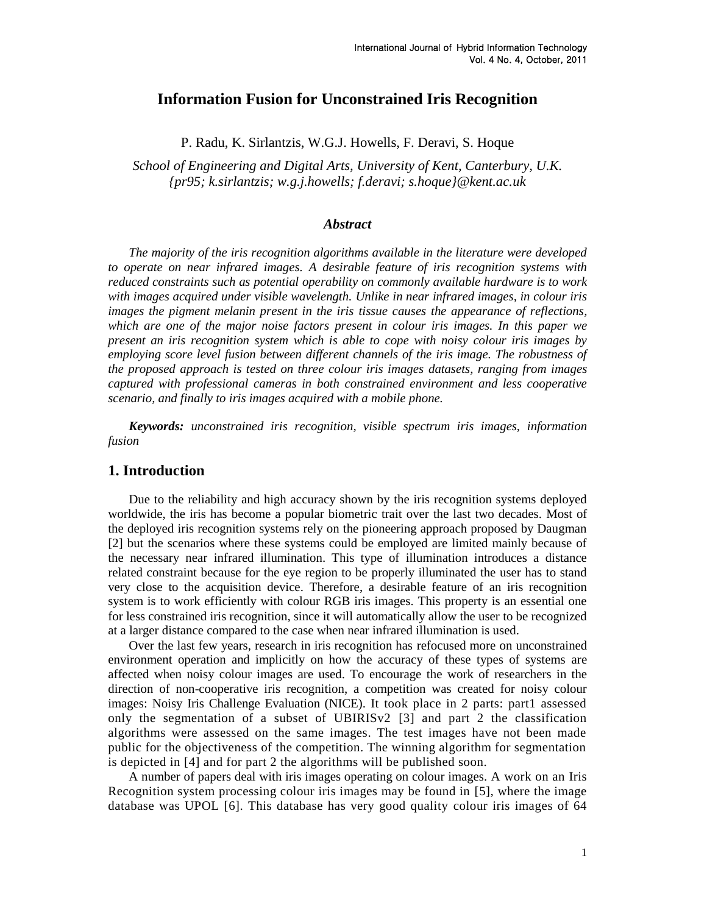## **Information Fusion for Unconstrained Iris Recognition**

P. Radu, K. Sirlantzis, W.G.J. Howells, F. Deravi, S. Hoque

*School of Engineering and Digital Arts, University of Kent, Canterbury, U.K. {pr95; k.sirlantzis; w.g.j.howells; f.deravi; s.hoque}@kent.ac.uk*

### *Abstract*

*The majority of the iris recognition algorithms available in the literature were developed to operate on near infrared images. A desirable feature of iris recognition systems with reduced constraints such as potential operability on commonly available hardware is to work with images acquired under visible wavelength. Unlike in near infrared images, in colour iris images the pigment melanin present in the iris tissue causes the appearance of reflections, which are one of the major noise factors present in colour iris images. In this paper we present an iris recognition system which is able to cope with noisy colour iris images by employing score level fusion between different channels of the iris image. The robustness of the proposed approach is tested on three colour iris images datasets, ranging from images captured with professional cameras in both constrained environment and less cooperative scenario, and finally to iris images acquired with a mobile phone.*

*Keywords: unconstrained iris recognition, visible spectrum iris images, information fusion*

## **1. Introduction**

Due to the reliability and high accuracy shown by the iris recognition systems deployed worldwide, the iris has become a popular biometric trait over the last two decades. Most of the deployed iris recognition systems rely on the pioneering approach proposed by Daugman [2] but the scenarios where these systems could be employed are limited mainly because of the necessary near infrared illumination. This type of illumination introduces a distance related constraint because for the eye region to be properly illuminated the user has to stand very close to the acquisition device. Therefore, a desirable feature of an iris recognition system is to work efficiently with colour RGB iris images. This property is an essential one for less constrained iris recognition, since it will automatically allow the user to be recognized at a larger distance compared to the case when near infrared illumination is used.

Over the last few years, research in iris recognition has refocused more on unconstrained environment operation and implicitly on how the accuracy of these types of systems are affected when noisy colour images are used. To encourage the work of researchers in the direction of non-cooperative iris recognition, a competition was created for noisy colour images: Noisy Iris Challenge Evaluation (NICE). It took place in 2 parts: part1 assessed only the segmentation of a subset of UBIRISv2 [3] and part 2 the classification algorithms were assessed on the same images. The test images have not been made public for the objectiveness of the competition. The winning algorithm for segmentation is depicted in [4] and for part 2 the algorithms will be published soon.

A number of papers deal with iris images operating on colour images. A work on an Iris Recognition system processing colour iris images may be found in [5], where the image database was UPOL [6]. This database has very good quality colour iris images of 64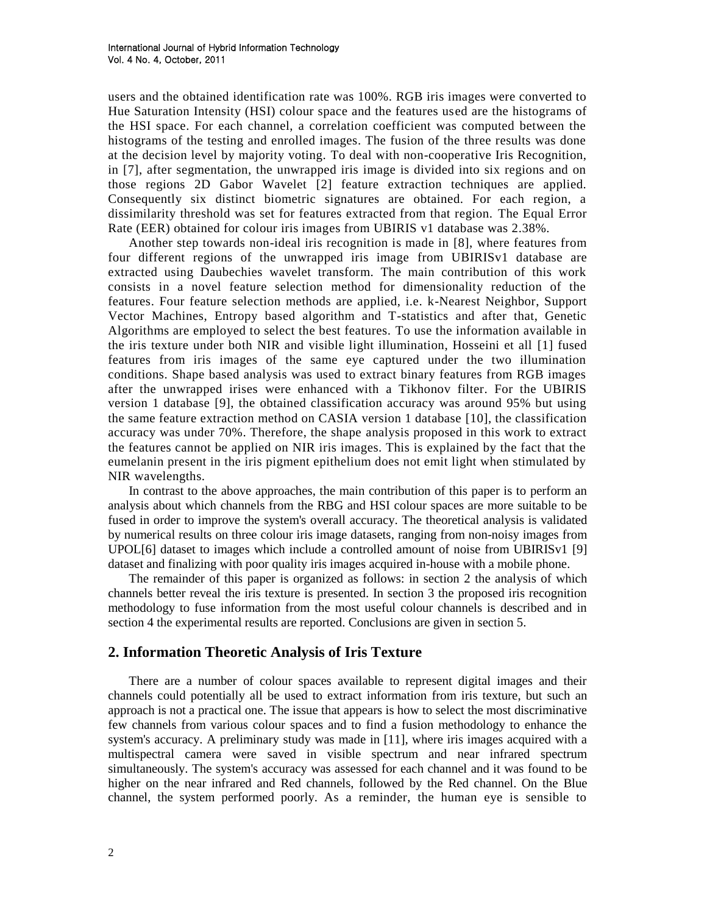users and the obtained identification rate was 100%. RGB iris images were converted to Hue Saturation Intensity (HSI) colour space and the features used are the histograms of the HSI space. For each channel, a correlation coefficient was computed between the histograms of the testing and enrolled images. The fusion of the three results was done at the decision level by majority voting. To deal with non-cooperative Iris Recognition, in [7], after segmentation, the unwrapped iris image is divided into six regions and on those regions 2D Gabor Wavelet [2] feature extraction techniques are applied. Consequently six distinct biometric signatures are obtained. For each region, a dissimilarity threshold was set for features extracted from that region. The Equal Error Rate (EER) obtained for colour iris images from UBIRIS v1 database was 2.38%.

Another step towards non-ideal iris recognition is made in [8], where features from four different regions of the unwrapped iris image from UBIRISv1 database are extracted using Daubechies wavelet transform. The main contribution of this work consists in a novel feature selection method for dimensionality reduction of the features. Four feature selection methods are applied, i.e. k-Nearest Neighbor, Support Vector Machines, Entropy based algorithm and T-statistics and after that, Genetic Algorithms are employed to select the best features. To use the information available in the iris texture under both NIR and visible light illumination, Hosseini et all [1] fused features from iris images of the same eye captured under the two illumination conditions. Shape based analysis was used to extract binary features from RGB images after the unwrapped irises were enhanced with a Tikhonov filter. For the UBIRIS version 1 database [9], the obtained classification accuracy was around 95% but using the same feature extraction method on CASIA version 1 database [10], the classification accuracy was under 70%. Therefore, the shape analysis proposed in this work to extract the features cannot be applied on NIR iris images. This is explained by the fact that the eumelanin present in the iris pigment epithelium does not emit light when stimulated by NIR wavelengths.

In contrast to the above approaches, the main contribution of this paper is to perform an analysis about which channels from the RBG and HSI colour spaces are more suitable to be fused in order to improve the system's overall accuracy. The theoretical analysis is validated by numerical results on three colour iris image datasets, ranging from non-noisy images from UPOL[6] dataset to images which include a controlled amount of noise from UBIRISv1 [9] dataset and finalizing with poor quality iris images acquired in-house with a mobile phone.

The remainder of this paper is organized as follows: in section 2 the analysis of which channels better reveal the iris texture is presented. In section 3 the proposed iris recognition methodology to fuse information from the most useful colour channels is described and in section 4 the experimental results are reported. Conclusions are given in section 5.

## **2. Information Theoretic Analysis of Iris Texture**

There are a number of colour spaces available to represent digital images and their channels could potentially all be used to extract information from iris texture, but such an approach is not a practical one. The issue that appears is how to select the most discriminative few channels from various colour spaces and to find a fusion methodology to enhance the system's accuracy. A preliminary study was made in [11], where iris images acquired with a multispectral camera were saved in visible spectrum and near infrared spectrum simultaneously. The system's accuracy was assessed for each channel and it was found to be higher on the near infrared and Red channels, followed by the Red channel. On the Blue channel, the system performed poorly. As a reminder, the human eye is sensible to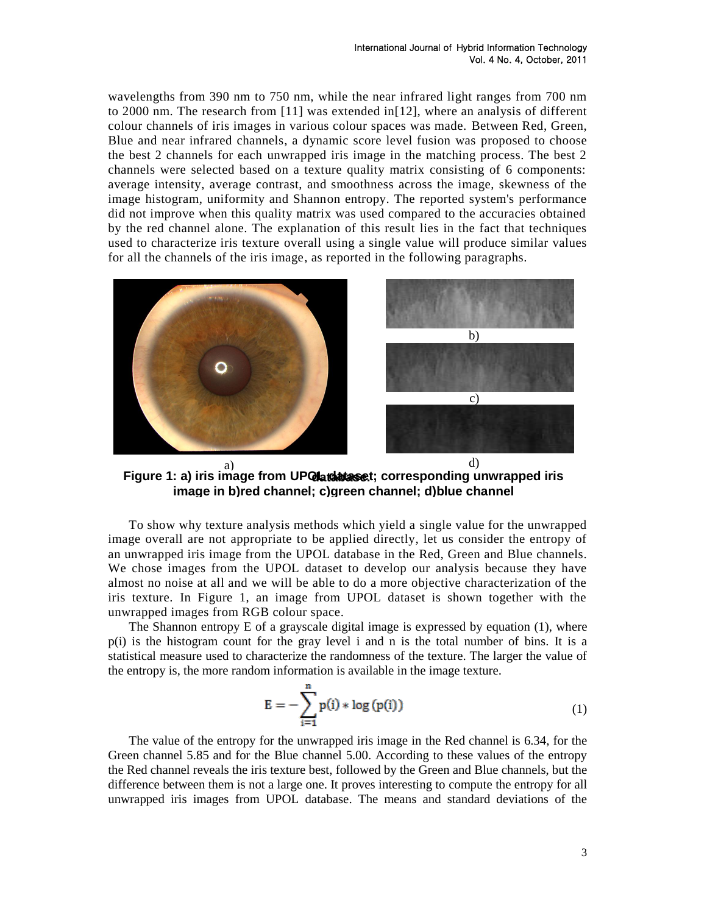wavelengths from 390 nm to 750 nm, while the near infrared light ranges from 700 nm to 2000 nm. The research from [11] was extended in[12], where an analysis of different colour channels of iris images in various colour spaces was made. Between Red, Green, Blue and near infrared channels, a dynamic score level fusion was proposed to choose the best 2 channels for each unwrapped iris image in the matching process. The best 2 channels were selected based on a texture quality matrix consisting of 6 components: average intensity, average contrast, and smoothness across the image, skewness of the image histogram, uniformity and Shannon entropy. The reported system's performance did not improve when this quality matrix was used compared to the accuracies obtained by the red channel alone. The explanation of this result lies in the fact that techniques used to characterize iris texture overall using a single value will produce similar values for all the channels of the iris image, as reported in the following paragraphs.



Figure 1: a) iris image from UP**Qlatabaset**; corresponding unwrapped iris **image in b)red channel; c)green channel; d)blue channel**

To show why texture analysis methods which yield a single value for the unwrapped image overall are not appropriate to be applied directly, let us consider the entropy of an unwrapped iris image from the UPOL database in the Red, Green and Blue channels. We chose images from the UPOL dataset to develop our analysis because they have almost no noise at all and we will be able to do a more objective characterization of the iris texture. In Figure 1, an image from UPOL dataset is shown together with the unwrapped images from RGB colour space.

The Shannon entropy E of a grayscale digital image is expressed by equation (1), where p(i) is the histogram count for the gray level i and n is the total number of bins. It is a statistical measure used to characterize the randomness of the texture. The larger the value of the entropy is, the more random information is available in the image texture.

$$
E = -\sum_{i=1}^{n} p(i) * \log (p(i))
$$
 (1)

The value of the entropy for the unwrapped iris image in the Red channel is 6.34, for the Green channel 5.85 and for the Blue channel 5.00. According to these values of the entropy the Red channel reveals the iris texture best, followed by the Green and Blue channels, but the difference between them is not a large one. It proves interesting to compute the entropy for all unwrapped iris images from UPOL database. The means and standard deviations of the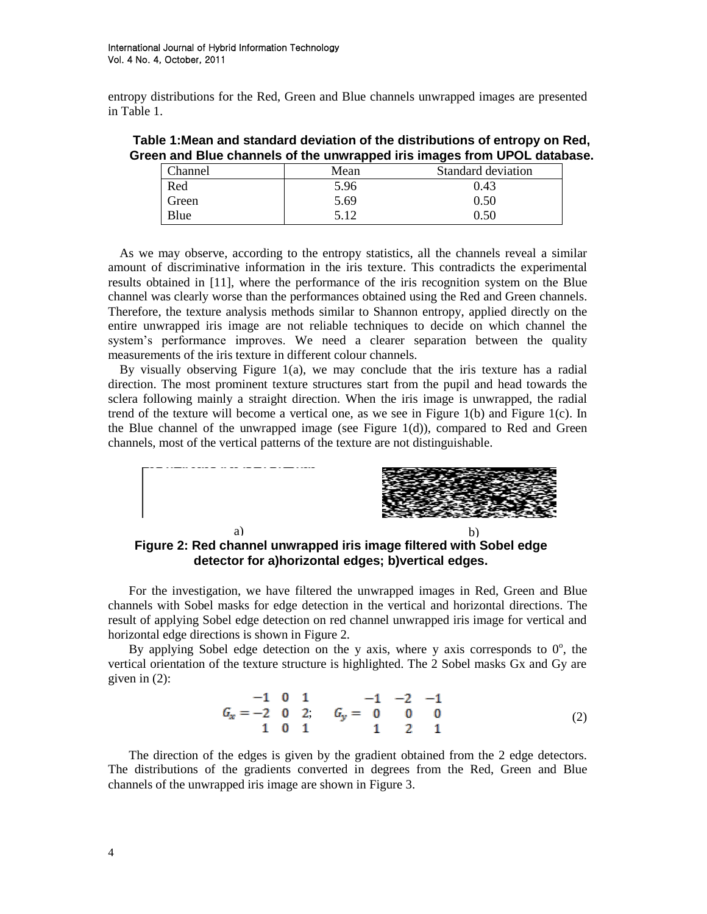entropy distributions for the Red, Green and Blue channels unwrapped images are presented in Table 1.

|  |  | Table 1: Mean and standard deviation of the distributions of entropy on Red, |
|--|--|------------------------------------------------------------------------------|
|  |  | Green and Blue channels of the unwrapped iris images from UPOL database.     |

| Channel | Mean | Standard deviation |
|---------|------|--------------------|
| Red     | 5.96 | 0.43               |
| Green   | 5.69 | 0.50               |
| Blue    | 5.12 | 0.50               |

As we may observe, according to the entropy statistics, all the channels reveal a similar amount of discriminative information in the iris texture. This contradicts the experimental results obtained in [11], where the performance of the iris recognition system on the Blue channel was clearly worse than the performances obtained using the Red and Green channels. Therefore, the texture analysis methods similar to Shannon entropy, applied directly on the entire unwrapped iris image are not reliable techniques to decide on which channel the system's performance improves. We need a clearer separation between the quality measurements of the iris texture in different colour channels.

By visually observing Figure 1(a), we may conclude that the iris texture has a radial direction. The most prominent texture structures start from the pupil and head towards the sclera following mainly a straight direction. When the iris image is unwrapped, the radial trend of the texture will become a vertical one, as we see in Figure 1(b) and Figure 1(c). In the Blue channel of the unwrapped image (see Figure 1(d)), compared to Red and Green channels, most of the vertical patterns of the texture are not distinguishable.



**Figure 2: Red channel unwrapped iris image filtered with Sobel edge detector for a)horizontal edges; b)vertical edges.**

For the investigation, we have filtered the unwrapped images in Red, Green and Blue channels with Sobel masks for edge detection in the vertical and horizontal directions. The result of applying Sobel edge detection on red channel unwrapped iris image for vertical and horizontal edge directions is shown in Figure 2.

By applying Sobel edge detection on the y axis, where y axis corresponds to  $0^\circ$ , the vertical orientation of the texture structure is highlighted. The 2 Sobel masks Gx and Gy are given in (2):

$$
G_x = \begin{matrix} -1 & 0 & 1 \\ -2 & 0 & 2 \\ 1 & 0 & 1 \end{matrix}, \quad G_y = \begin{matrix} -1 & -2 & -1 \\ 0 & 0 & 0 \\ 1 & 2 & 1 \end{matrix}
$$
 (2)

The direction of the edges is given by the gradient obtained from the 2 edge detectors. The distributions of the gradients converted in degrees from the Red, Green and Blue channels of the unwrapped iris image are shown in Figure 3.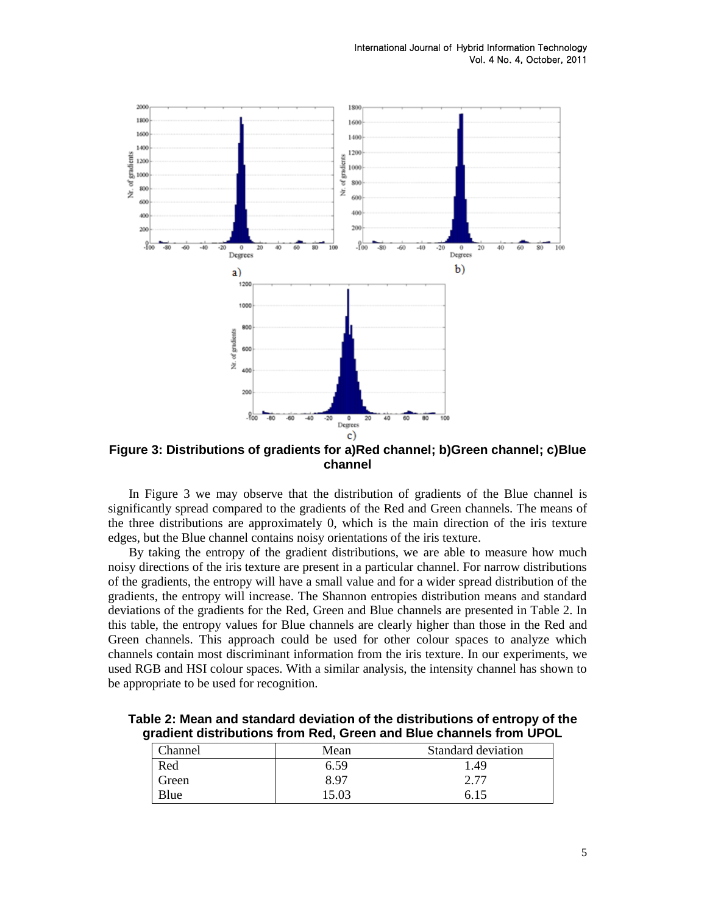

**Figure 3: Distributions of gradients for a)Red channel; b)Green channel; c)Blue channel**

In Figure 3 we may observe that the distribution of gradients of the Blue channel is significantly spread compared to the gradients of the Red and Green channels. The means of the three distributions are approximately 0, which is the main direction of the iris texture edges, but the Blue channel contains noisy orientations of the iris texture.

By taking the entropy of the gradient distributions, we are able to measure how much noisy directions of the iris texture are present in a particular channel. For narrow distributions of the gradients, the entropy will have a small value and for a wider spread distribution of the gradients, the entropy will increase. The Shannon entropies distribution means and standard deviations of the gradients for the Red, Green and Blue channels are presented in Table 2. In this table, the entropy values for Blue channels are clearly higher than those in the Red and Green channels. This approach could be used for other colour spaces to analyze which channels contain most discriminant information from the iris texture. In our experiments, we used RGB and HSI colour spaces. With a similar analysis, the intensity channel has shown to be appropriate to be used for recognition.

| Channel | Mean  | Standard deviation |
|---------|-------|--------------------|
| Red     | 6.59  | . 49               |
| Green   | 8.97  | 2.77               |
| Blue    | 15.03 | 6.15               |

**Table 2: Mean and standard deviation of the distributions of entropy of the gradient distributions from Red, Green and Blue channels from UPOL**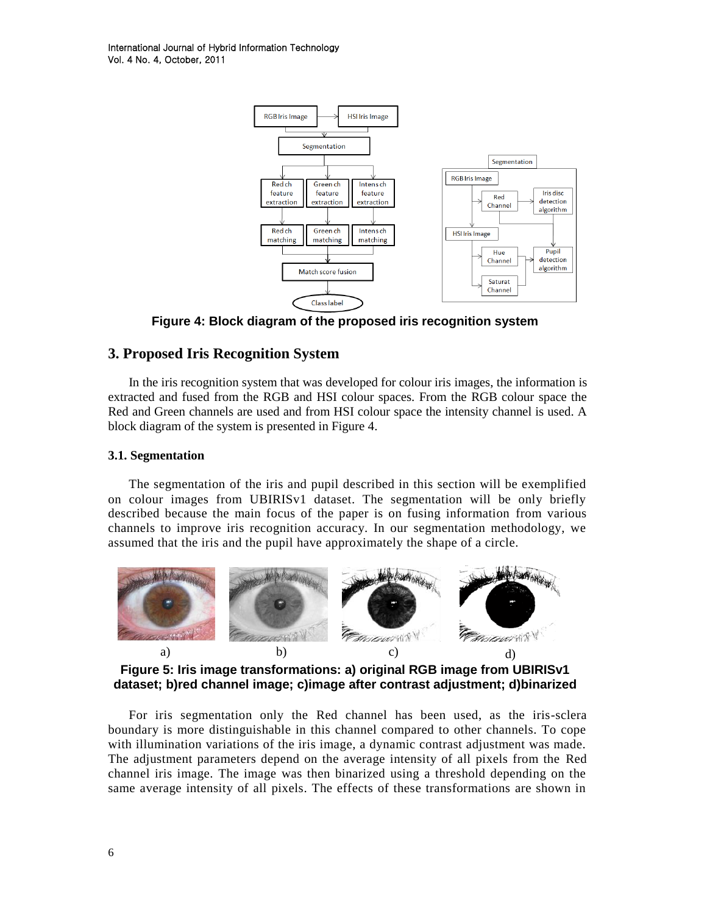

**Figure 4: Block diagram of the proposed iris recognition system**

## **3. Proposed Iris Recognition System**

In the iris recognition system that was developed for colour iris images, the information is extracted and fused from the RGB and HSI colour spaces. From the RGB colour space the Red and Green channels are used and from HSI colour space the intensity channel is used. A block diagram of the system is presented in Figure 4.

#### **3.1. Segmentation**

The segmentation of the iris and pupil described in this section will be exemplified on colour images from UBIRISv1 dataset. The segmentation will be only briefly described because the main focus of the paper is on fusing information from various channels to improve iris recognition accuracy. In our segmentation methodology, we assumed that the iris and the pupil have approximately the shape of a circle.



**Figure 5: Iris image transformations: a) original RGB image from UBIRISv1 dataset; b)red channel image; c)image after contrast adjustment; d)binarized** 

For iris segmentation only the Red channel has been used, as the iris-sclera boundary is more distinguishable in this channel compared to other channels. To cope with illumination variations of the iris image, a dynamic contrast adjustment was made. The adjustment parameters depend on the average intensity of all pixels from the Red channel iris image. The image was then binarized using a threshold depending on the same average intensity of all pixels. The effects of these transformations are shown in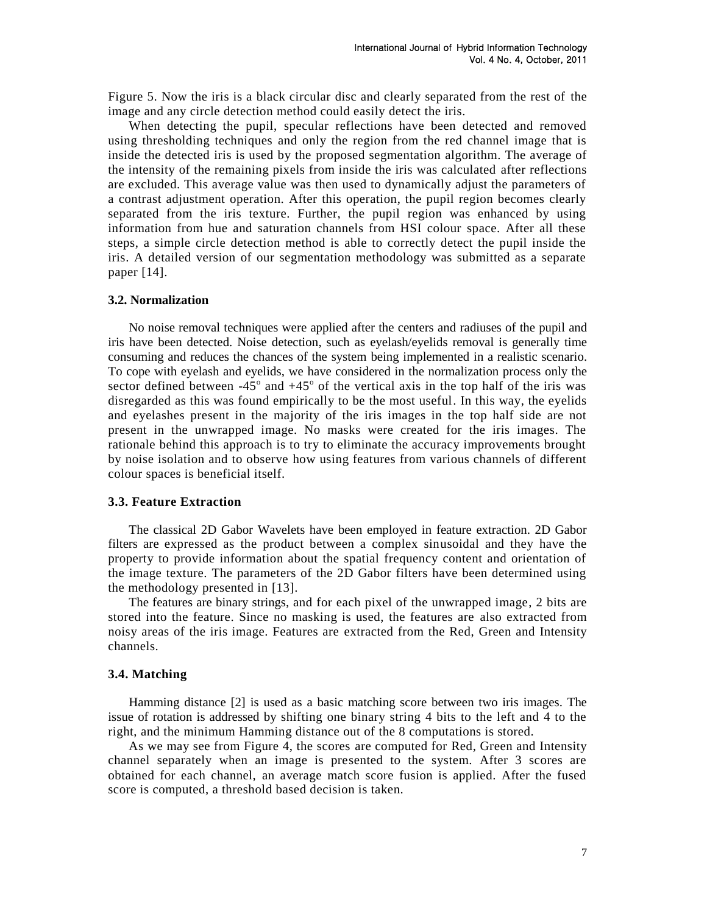Figure 5. Now the iris is a black circular disc and clearly separated from the rest of the image and any circle detection method could easily detect the iris.

When detecting the pupil, specular reflections have been detected and removed using thresholding techniques and only the region from the red channel image that is inside the detected iris is used by the proposed segmentation algorithm. The average of the intensity of the remaining pixels from inside the iris was calculated after reflections are excluded. This average value was then used to dynamically adjust the parameters of a contrast adjustment operation. After this operation, the pupil region becomes clearly separated from the iris texture. Further, the pupil region was enhanced by using information from hue and saturation channels from HSI colour space. After all these steps, a simple circle detection method is able to correctly detect the pupil inside the iris. A detailed version of our segmentation methodology was submitted as a separate paper [14].

#### **3.2. Normalization**

No noise removal techniques were applied after the centers and radiuses of the pupil and iris have been detected. Noise detection, such as eyelash/eyelids removal is generally time consuming and reduces the chances of the system being implemented in a realistic scenario. To cope with eyelash and eyelids, we have considered in the normalization process only the sector defined between  $-45^{\circ}$  and  $+45^{\circ}$  of the vertical axis in the top half of the iris was disregarded as this was found empirically to be the most useful. In this way, the eyelids and eyelashes present in the majority of the iris images in the top half side are not present in the unwrapped image. No masks were created for the iris images. The rationale behind this approach is to try to eliminate the accuracy improvements brought by noise isolation and to observe how using features from various channels of different colour spaces is beneficial itself.

#### **3.3. Feature Extraction**

The classical 2D Gabor Wavelets have been employed in feature extraction. 2D Gabor filters are expressed as the product between a complex sinusoidal and they have the property to provide information about the spatial frequency content and orientation of the image texture. The parameters of the 2D Gabor filters have been determined using the methodology presented in [13].

The features are binary strings, and for each pixel of the unwrapped image, 2 bits are stored into the feature. Since no masking is used, the features are also extracted from noisy areas of the iris image. Features are extracted from the Red, Green and Intensity channels.

#### **3.4. Matching**

Hamming distance [2] is used as a basic matching score between two iris images. The issue of rotation is addressed by shifting one binary string 4 bits to the left and 4 to the right, and the minimum Hamming distance out of the 8 computations is stored.

As we may see from Figure 4, the scores are computed for Red, Green and Intensity channel separately when an image is presented to the system. After 3 scores are obtained for each channel, an average match score fusion is applied. After the fused score is computed, a threshold based decision is taken.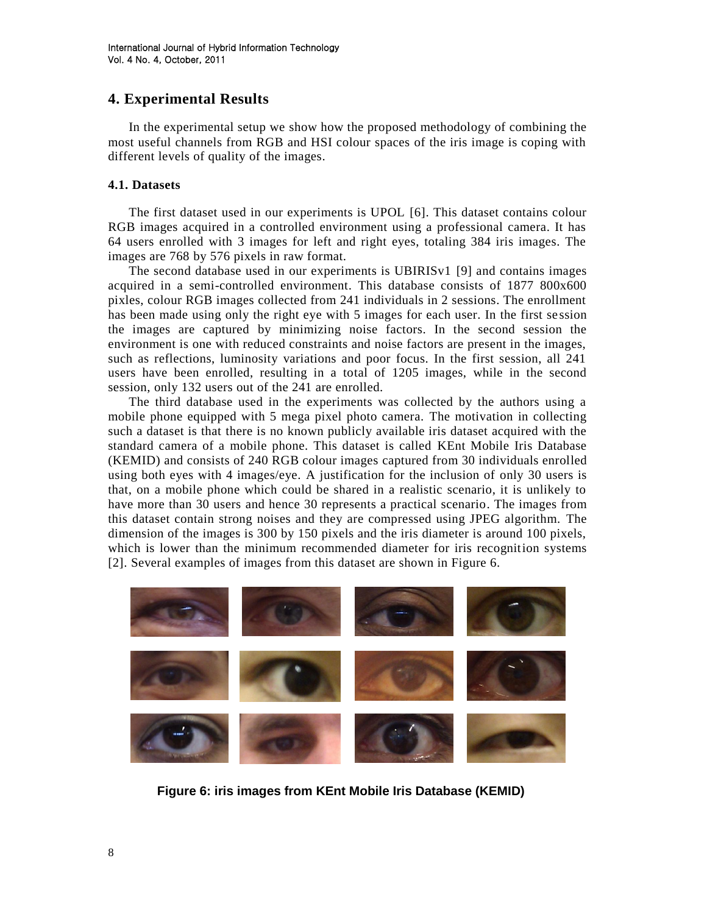# **4. Experimental Results**

In the experimental setup we show how the proposed methodology of combining the most useful channels from RGB and HSI colour spaces of the iris image is coping with different levels of quality of the images.

### **4.1. Datasets**

The first dataset used in our experiments is UPOL [6]. This dataset contains colour RGB images acquired in a controlled environment using a professional camera. It has 64 users enrolled with 3 images for left and right eyes, totaling 384 iris images. The images are 768 by 576 pixels in raw format.

The second database used in our experiments is UBIRISv1 [9] and contains images acquired in a semi-controlled environment. This database consists of 1877 800x600 pixles, colour RGB images collected from 241 individuals in 2 sessions. The enrollment has been made using only the right eye with 5 images for each user. In the first session the images are captured by minimizing noise factors. In the second session the environment is one with reduced constraints and noise factors are present in the images, such as reflections, luminosity variations and poor focus. In the first session, all 241 users have been enrolled, resulting in a total of 1205 images, while in the second session, only 132 users out of the 241 are enrolled.

The third database used in the experiments was collected by the authors using a mobile phone equipped with 5 mega pixel photo camera. The motivation in collecting such a dataset is that there is no known publicly available iris dataset acquired with the standard camera of a mobile phone. This dataset is called KEnt Mobile Iris Database (KEMID) and consists of 240 RGB colour images captured from 30 individuals enrolled using both eyes with 4 images/eye. A justification for the inclusion of only 30 users is that, on a mobile phone which could be shared in a realistic scenario, it is unlikely to have more than 30 users and hence 30 represents a practical scenario. The images from this dataset contain strong noises and they are compressed using JPEG algorithm. The dimension of the images is 300 by 150 pixels and the iris diameter is around 100 pixels, which is lower than the minimum recommended diameter for iris recognition systems [2]. Several examples of images from this dataset are shown in Figure 6.



**Figure 6: iris images from KEnt Mobile Iris Database (KEMID)**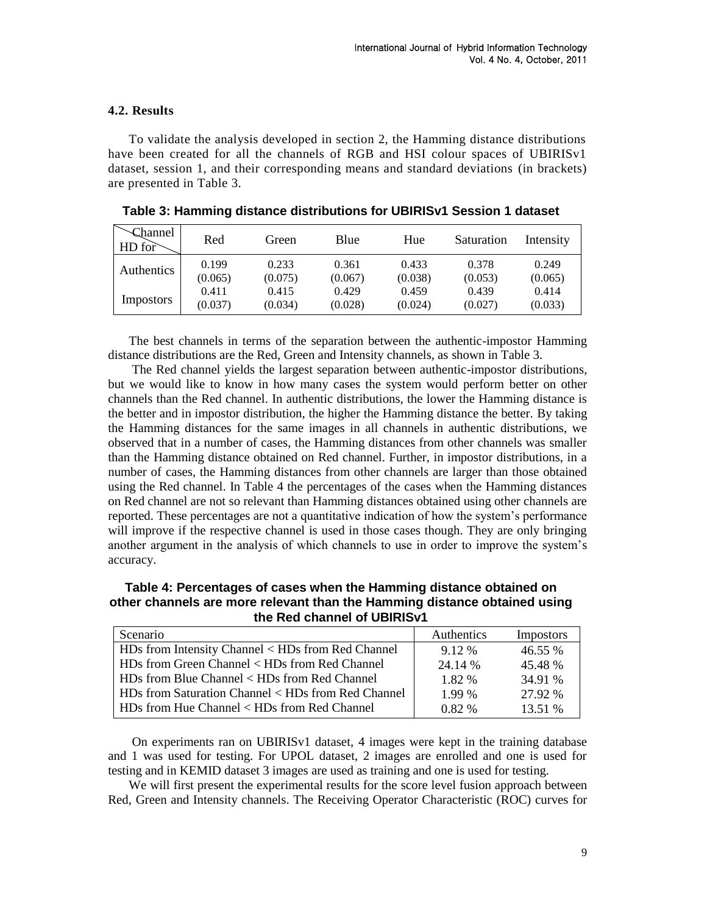## **4.2. Results**

To validate the analysis developed in section 2, the Hamming distance distributions have been created for all the channels of RGB and HSI colour spaces of UBIRISv1 dataset, session 1, and their corresponding means and standard deviations (in brackets) are presented in Table 3.

| Channel<br>HD for | Red     | Green   | Blue    | Hue     | Saturation | Intensity |
|-------------------|---------|---------|---------|---------|------------|-----------|
| Authentics        | 0.199   | 0.233   | 0.361   | 0.433   | 0.378      | 0.249     |
|                   | (0.065) | (0.075) | (0.067) | (0.038) | (0.053)    | (0.065)   |
| <i>Impostors</i>  | 0.411   | 0.415   | 0.429   | 0.459   | 0.439      | 0.414     |
|                   | (0.037) | (0.034) | (0.028) | (0.024) | (0.027)    | (0.033)   |

**Table 3: Hamming distance distributions for UBIRISv1 Session 1 dataset**

The best channels in terms of the separation between the authentic-impostor Hamming distance distributions are the Red, Green and Intensity channels, as shown in Table 3.

The Red channel yields the largest separation between authentic-impostor distributions, but we would like to know in how many cases the system would perform better on other channels than the Red channel. In authentic distributions, the lower the Hamming distance is the better and in impostor distribution, the higher the Hamming distance the better. By taking the Hamming distances for the same images in all channels in authentic distributions, we observed that in a number of cases, the Hamming distances from other channels was smaller than the Hamming distance obtained on Red channel. Further, in impostor distributions, in a number of cases, the Hamming distances from other channels are larger than those obtained using the Red channel. In Table 4 the percentages of the cases when the Hamming distances on Red channel are not so relevant than Hamming distances obtained using other channels are reported. These percentages are not a quantitative indication of how the system's performance will improve if the respective channel is used in those cases though. They are only bringing another argument in the analysis of which channels to use in order to improve the system's accuracy.

**Table 4: Percentages of cases when the Hamming distance obtained on other channels are more relevant than the Hamming distance obtained using the Red channel of UBIRISv1**

| Scenario                                           | <b>Authentics</b> | Impostors |
|----------------------------------------------------|-------------------|-----------|
| HDs from Intensity Channel < HDs from Red Channel  | 9.12 %            | 46.55 %   |
| HDs from Green Channel < HDs from Red Channel      | 24.14 %           | 45.48 %   |
| HDs from Blue Channel < HDs from Red Channel       | 1.82 %            | 34.91 %   |
| HDs from Saturation Channel < HDs from Red Channel | 1.99 %            | 27.92 %   |
| HDs from Hue Channel < HDs from Red Channel        | 0.82%             | 13.51 %   |

On experiments ran on UBIRISv1 dataset, 4 images were kept in the training database and 1 was used for testing. For UPOL dataset, 2 images are enrolled and one is used for testing and in KEMID dataset 3 images are used as training and one is used for testing.

We will first present the experimental results for the score level fusion approach between Red, Green and Intensity channels. The Receiving Operator Characteristic (ROC) curves for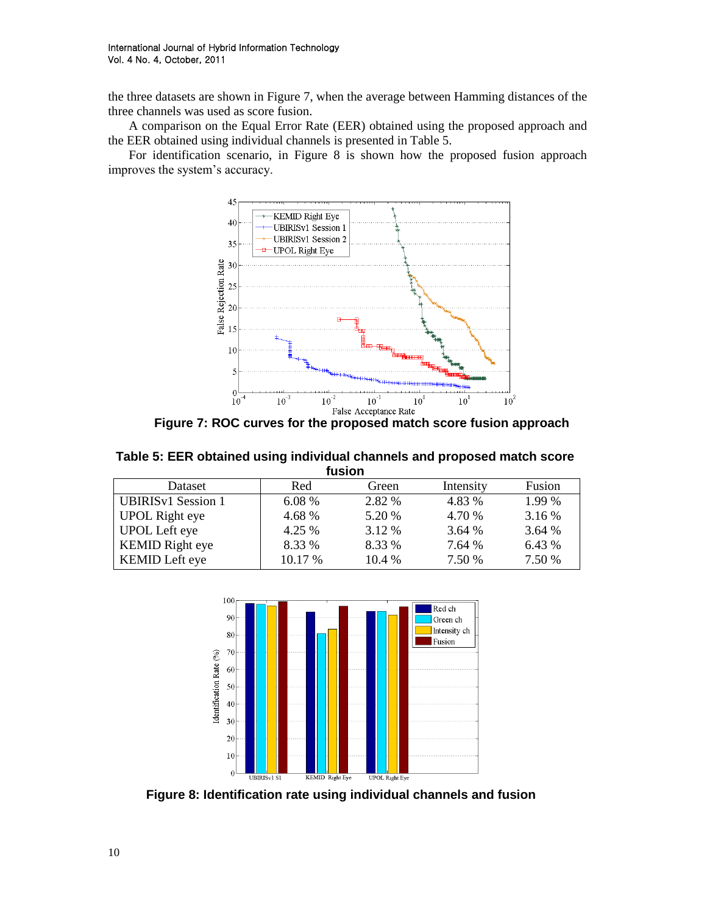the three datasets are shown in Figure 7, when the average between Hamming distances of the three channels was used as score fusion.

A comparison on the Equal Error Rate (EER) obtained using the proposed approach and the EER obtained using individual channels is presented in Table 5.

For identification scenario, in Figure 8 is shown how the proposed fusion approach improves the system's accuracy.



**Figure 7: ROC curves for the proposed match score fusion approach**

**Table 5: EER obtained using individual channels and proposed match score fusion**

| Dataset                   | Red     | Green    | Intensity | Fusion |  |
|---------------------------|---------|----------|-----------|--------|--|
| <b>UBIRISv1</b> Session 1 | 6.08 %  | 2.82 %   | 4.83 %    | 1.99 % |  |
| <b>UPOL Right eye</b>     | 4.68 %  | 5.20 %   | 4.70 %    | 3.16 % |  |
| <b>UPOL Left eye</b>      | 4.25 %  | 3.12 %   | 3.64 %    | 3.64 % |  |
| <b>KEMID Right eye</b>    | 8.33 %  | 8.33 %   | 7.64 %    | 6.43 % |  |
| KEMID Left eye            | 10.17 % | $10.4\%$ | 7.50 %    | 7.50 % |  |
|                           |         |          |           |        |  |



**Figure 8: Identification rate using individual channels and fusion**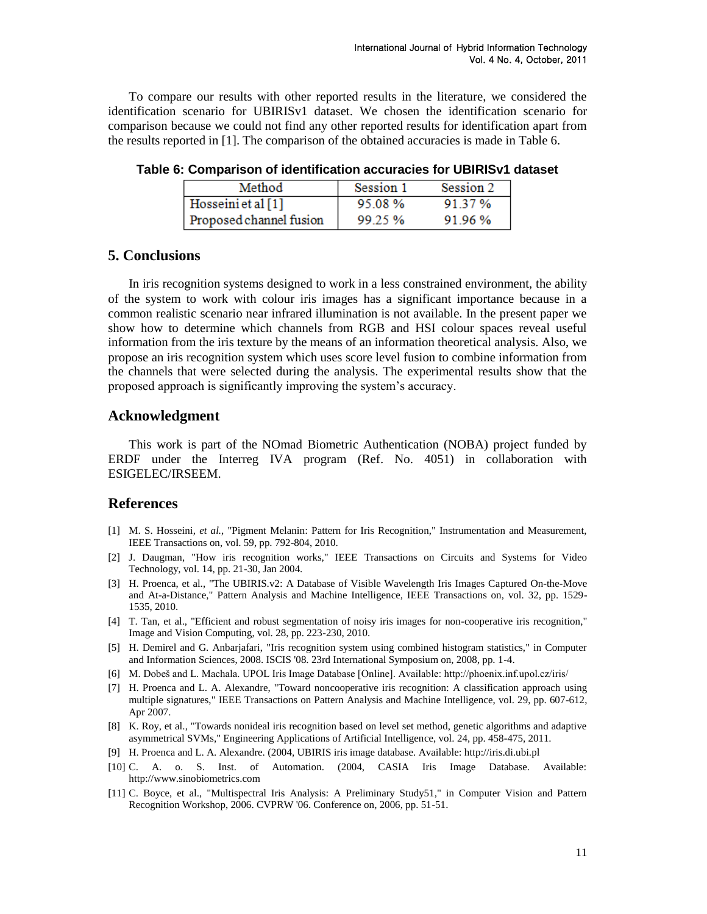To compare our results with other reported results in the literature, we considered the identification scenario for UBIRISv1 dataset. We chosen the identification scenario for comparison because we could not find any other reported results for identification apart from the results reported in [1]. The comparison of the obtained accuracies is made in Table 6.

| Method                  | Session 1 | Session 2 |
|-------------------------|-----------|-----------|
| Hosseini et al $[1]$    | 95.08%    | 91.37%    |
| Proposed channel fusion | 99.25%    | 91.96%    |

**Table 6: Comparison of identification accuracies for UBIRISv1 dataset**

## **5. Conclusions**

In iris recognition systems designed to work in a less constrained environment, the ability of the system to work with colour iris images has a significant importance because in a common realistic scenario near infrared illumination is not available. In the present paper we show how to determine which channels from RGB and HSI colour spaces reveal useful information from the iris texture by the means of an information theoretical analysis. Also, we propose an iris recognition system which uses score level fusion to combine information from the channels that were selected during the analysis. The experimental results show that the proposed approach is significantly improving the system's accuracy.

## **Acknowledgment**

This work is part of the NOmad Biometric Authentication (NOBA) project funded by ERDF under the Interreg IVA program (Ref. No. 4051) in collaboration with ESIGELEC/IRSEEM.

## **References**

- [1] M. S. Hosseini*, et al.*, "Pigment Melanin: Pattern for Iris Recognition," Instrumentation and Measurement, IEEE Transactions on, vol. 59, pp. 792-804, 2010.
- [2] J. Daugman, "How iris recognition works," IEEE Transactions on Circuits and Systems for Video Technology, vol. 14, pp. 21-30, Jan 2004.
- [3] H. Proenca, et al., "The UBIRIS.v2: A Database of Visible Wavelength Iris Images Captured On-the-Move and At-a-Distance," Pattern Analysis and Machine Intelligence, IEEE Transactions on, vol. 32, pp. 1529- 1535, 2010.
- [4] T. Tan, et al., "Efficient and robust segmentation of noisy iris images for non-cooperative iris recognition," Image and Vision Computing, vol. 28, pp. 223-230, 2010.
- [5] H. Demirel and G. Anbarjafari, "Iris recognition system using combined histogram statistics," in Computer and Information Sciences, 2008. ISCIS '08. 23rd International Symposium on, 2008, pp. 1-4.
- [6] M. Dobeš and L. Machala. UPOL Iris Image Database [Online]. Available: http://phoenix.inf.upol.cz/iris/
- [7] H. Proenca and L. A. Alexandre, "Toward noncooperative iris recognition: A classification approach using multiple signatures," IEEE Transactions on Pattern Analysis and Machine Intelligence, vol. 29, pp. 607-612, Apr 2007.
- [8] K. Roy, et al., "Towards nonideal iris recognition based on level set method, genetic algorithms and adaptive asymmetrical SVMs," Engineering Applications of Artificial Intelligence, vol. 24, pp. 458-475, 2011.
- [9] H. Proenca and L. A. Alexandre. (2004, UBIRIS iris image database. Available: http://iris.di.ubi.pl
- [10] C. A. o. S. Inst. of Automation. (2004, CASIA Iris Image Database. Available: http://www.sinobiometrics.com
- [11] C. Boyce, et al., "Multispectral Iris Analysis: A Preliminary Study51," in Computer Vision and Pattern Recognition Workshop, 2006. CVPRW '06. Conference on, 2006, pp. 51-51.